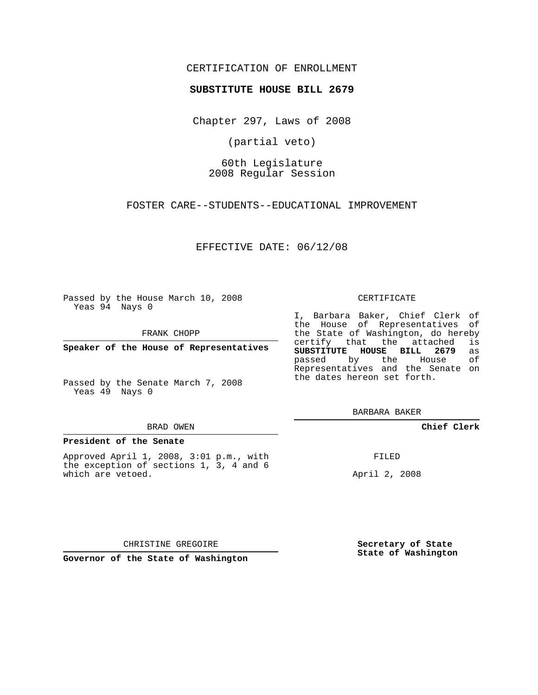## CERTIFICATION OF ENROLLMENT

## **SUBSTITUTE HOUSE BILL 2679**

Chapter 297, Laws of 2008

(partial veto)

60th Legislature 2008 Regular Session

FOSTER CARE--STUDENTS--EDUCATIONAL IMPROVEMENT

EFFECTIVE DATE: 06/12/08

Passed by the House March 10, 2008 Yeas 94 Nays 0

FRANK CHOPP

**Speaker of the House of Representatives**

Passed by the Senate March 7, 2008 Yeas 49 Nays 0

#### BRAD OWEN

## **President of the Senate**

Approved April 1, 2008, 3:01 p.m., with the exception of sections 1, 3, 4 and 6 which are vetoed.

#### CERTIFICATE

I, Barbara Baker, Chief Clerk of the House of Representatives of the State of Washington, do hereby<br>certify that the attached is certify that the attached **SUBSTITUTE HOUSE BILL 2679** as passed by the House Representatives and the Senate on the dates hereon set forth.

BARBARA BAKER

**Chief Clerk**

FILED

April 2, 2008

CHRISTINE GREGOIRE

**Governor of the State of Washington**

**Secretary of State State of Washington**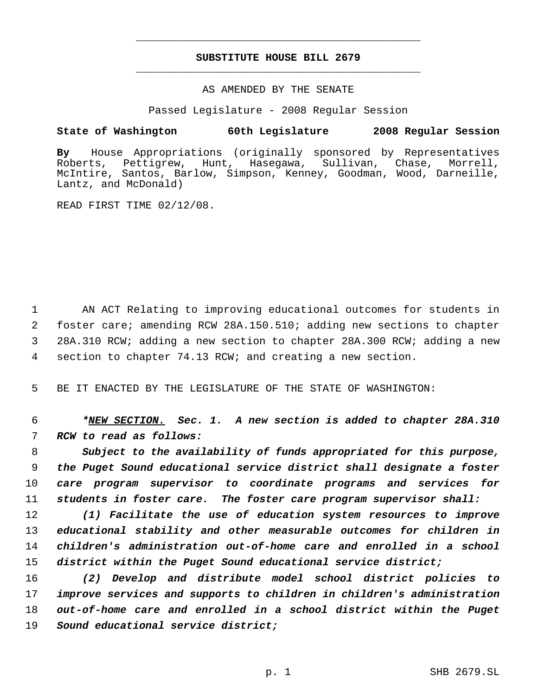# **SUBSTITUTE HOUSE BILL 2679** \_\_\_\_\_\_\_\_\_\_\_\_\_\_\_\_\_\_\_\_\_\_\_\_\_\_\_\_\_\_\_\_\_\_\_\_\_\_\_\_\_\_\_\_\_

\_\_\_\_\_\_\_\_\_\_\_\_\_\_\_\_\_\_\_\_\_\_\_\_\_\_\_\_\_\_\_\_\_\_\_\_\_\_\_\_\_\_\_\_\_

## AS AMENDED BY THE SENATE

Passed Legislature - 2008 Regular Session

# **State of Washington 60th Legislature 2008 Regular Session**

**By** House Appropriations (originally sponsored by Representatives Roberts, Pettigrew, Hunt, Hasegawa, Sullivan, Chase, Morrell, McIntire, Santos, Barlow, Simpson, Kenney, Goodman, Wood, Darneille, Lantz, and McDonald)

READ FIRST TIME 02/12/08.

 AN ACT Relating to improving educational outcomes for students in foster care; amending RCW 28A.150.510; adding new sections to chapter 28A.310 RCW; adding a new section to chapter 28A.300 RCW; adding a new section to chapter 74.13 RCW; and creating a new section.

BE IT ENACTED BY THE LEGISLATURE OF THE STATE OF WASHINGTON:

 *\*NEW SECTION. Sec. 1. A new section is added to chapter 28A.310 RCW to read as follows:*

 *Subject to the availability of funds appropriated for this purpose, the Puget Sound educational service district shall designate a foster care program supervisor to coordinate programs and services for students in foster care. The foster care program supervisor shall:*

 *(1) Facilitate the use of education system resources to improve educational stability and other measurable outcomes for children in children's administration out-of-home care and enrolled in a school district within the Puget Sound educational service district;*

 *(2) Develop and distribute model school district policies to improve services and supports to children in children's administration out-of-home care and enrolled in a school district within the Puget Sound educational service district;*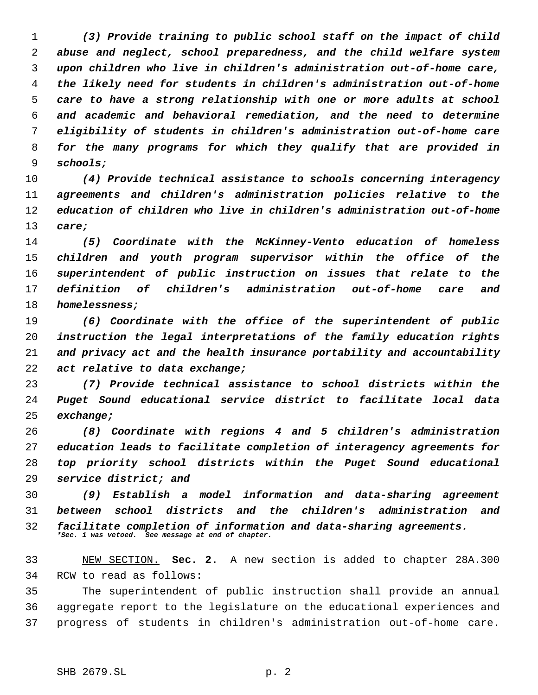*(3) Provide training to public school staff on the impact of child abuse and neglect, school preparedness, and the child welfare system upon children who live in children's administration out-of-home care, the likely need for students in children's administration out-of-home care to have a strong relationship with one or more adults at school and academic and behavioral remediation, and the need to determine eligibility of students in children's administration out-of-home care for the many programs for which they qualify that are provided in schools;*

 *(4) Provide technical assistance to schools concerning interagency agreements and children's administration policies relative to the education of children who live in children's administration out-of-home care;*

 *(5) Coordinate with the McKinney-Vento education of homeless children and youth program supervisor within the office of the superintendent of public instruction on issues that relate to the definition of children's administration out-of-home care and homelessness;*

 *(6) Coordinate with the office of the superintendent of public instruction the legal interpretations of the family education rights and privacy act and the health insurance portability and accountability act relative to data exchange;*

 *(7) Provide technical assistance to school districts within the Puget Sound educational service district to facilitate local data exchange;*

 *(8) Coordinate with regions 4 and 5 children's administration education leads to facilitate completion of interagency agreements for top priority school districts within the Puget Sound educational service district; and*

 *(9) Establish a model information and data-sharing agreement between school districts and the children's administration and facilitate completion of information and data-sharing agreements. \*Sec. 1 was vetoed. See message at end of chapter.*

 NEW SECTION. **Sec. 2.** A new section is added to chapter 28A.300 RCW to read as follows:

 The superintendent of public instruction shall provide an annual aggregate report to the legislature on the educational experiences and progress of students in children's administration out-of-home care.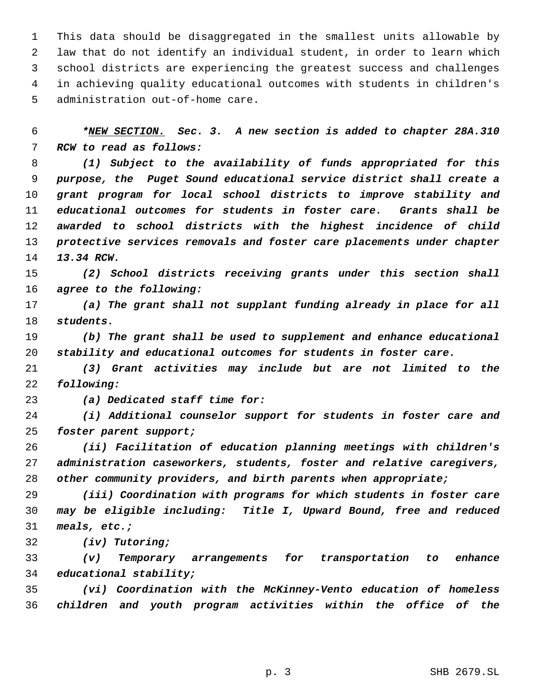This data should be disaggregated in the smallest units allowable by law that do not identify an individual student, in order to learn which school districts are experiencing the greatest success and challenges in achieving quality educational outcomes with students in children's administration out-of-home care.

 *\*NEW SECTION. Sec. 3. A new section is added to chapter 28A.310 RCW to read as follows:*

 *(1) Subject to the availability of funds appropriated for this purpose, the Puget Sound educational service district shall create a grant program for local school districts to improve stability and educational outcomes for students in foster care. Grants shall be awarded to school districts with the highest incidence of child protective services removals and foster care placements under chapter 13.34 RCW.*

 *(2) School districts receiving grants under this section shall agree to the following:*

 *(a) The grant shall not supplant funding already in place for all students.*

 *(b) The grant shall be used to supplement and enhance educational stability and educational outcomes for students in foster care.*

 *(3) Grant activities may include but are not limited to the following:*

*(a) Dedicated staff time for:*

 *(i) Additional counselor support for students in foster care and foster parent support;*

 *(ii) Facilitation of education planning meetings with children's administration caseworkers, students, foster and relative caregivers, other community providers, and birth parents when appropriate;*

 *(iii) Coordination with programs for which students in foster care may be eligible including: Title I, Upward Bound, free and reduced meals, etc.;*

*(iv) Tutoring;*

 *(v) Temporary arrangements for transportation to enhance educational stability;*

 *(vi) Coordination with the McKinney-Vento education of homeless children and youth program activities within the office of the*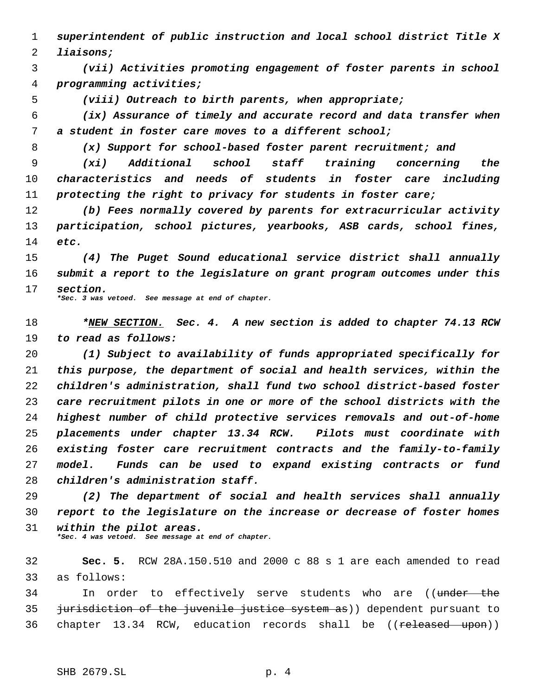*superintendent of public instruction and local school district Title X*

*liaisons;*

 *(vii) Activities promoting engagement of foster parents in school programming activities;*

*(viii) Outreach to birth parents, when appropriate;*

 *(ix) Assurance of timely and accurate record and data transfer when a student in foster care moves to a different school;*

*(x) Support for school-based foster parent recruitment; and*

 *(xi) Additional school staff training concerning the characteristics and needs of students in foster care including protecting the right to privacy for students in foster care;*

 *(b) Fees normally covered by parents for extracurricular activity participation, school pictures, yearbooks, ASB cards, school fines, etc.*

 *(4) The Puget Sound educational service district shall annually submit a report to the legislature on grant program outcomes under this section. \*Sec. 3 was vetoed. See message at end of chapter.*

 *\*NEW SECTION. Sec. 4. A new section is added to chapter 74.13 RCW to read as follows:*

 *(1) Subject to availability of funds appropriated specifically for this purpose, the department of social and health services, within the children's administration, shall fund two school district-based foster care recruitment pilots in one or more of the school districts with the highest number of child protective services removals and out-of-home placements under chapter 13.34 RCW. Pilots must coordinate with existing foster care recruitment contracts and the family-to-family model. Funds can be used to expand existing contracts or fund children's administration staff.*

 *(2) The department of social and health services shall annually report to the legislature on the increase or decrease of foster homes within the pilot areas. \*Sec. 4 was vetoed. See message at end of chapter.*

 **Sec. 5.** RCW 28A.150.510 and 2000 c 88 s 1 are each amended to read as follows:

34 In order to effectively serve students who are ((under the 35 jurisdiction of the juvenile justice system as)) dependent pursuant to 36 chapter 13.34 RCW, education records shall be ((released upon))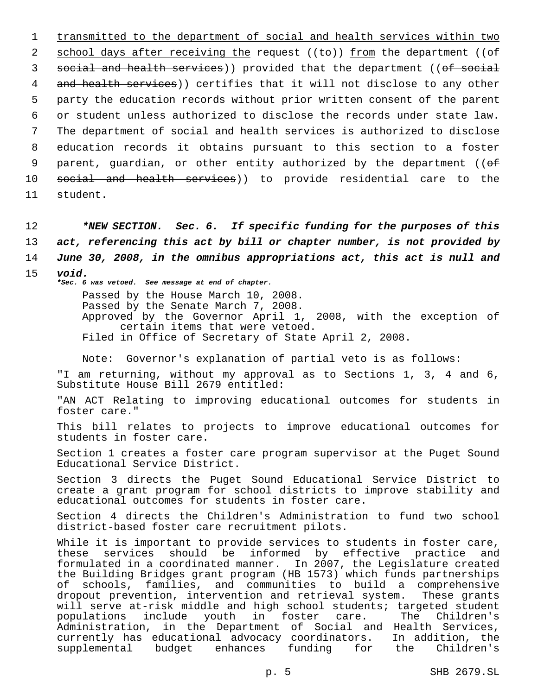1 transmitted to the department of social and health services within two 2 school days after receiving the request  $((\pm e))$  from the department  $((\pm f))$ 3 social and health services)) provided that the department ((of social 4 and health services)) certifies that it will not disclose to any other 5 party the education records without prior written consent of the parent 6 or student unless authorized to disclose the records under state law. 7 The department of social and health services is authorized to disclose 8 education records it obtains pursuant to this section to a foster 9 parent, guardian, or other entity authorized by the department ( $(e^{\frac{f}{c}})$ 10 social and health services)) to provide residential care to the 11 student.

 *\*NEW SECTION. Sec. 6. If specific funding for the purposes of this act, referencing this act by bill or chapter number, is not provided by June 30, 2008, in the omnibus appropriations act, this act is null and* 15 *void.*

*\*Sec. 6 was vetoed. See message at end of chapter.*

Passed by the House March 10, 2008. Passed by the Senate March 7, 2008. Approved by the Governor April 1, 2008, with the exception of certain items that were vetoed. Filed in Office of Secretary of State April 2, 2008.

Note: Governor's explanation of partial veto is as follows:

"I am returning, without my approval as to Sections 1, 3, 4 and 6, Substitute House Bill 2679 entitled:

"AN ACT Relating to improving educational outcomes for students in foster care."

This bill relates to projects to improve educational outcomes for students in foster care.

Section 1 creates a foster care program supervisor at the Puget Sound Educational Service District.

Section 3 directs the Puget Sound Educational Service District to create a grant program for school districts to improve stability and educational outcomes for students in foster care.

Section 4 directs the Children's Administration to fund two school district-based foster care recruitment pilots.

While it is important to provide services to students in foster care, these services should be informed by effective practice and formulated in a coordinated manner. In 2007, the Legislature created the Building Bridges grant program (HB 1573) which funds partnerships of schools, families, and communities to build a comprehensive dropout prevention, intervention and retrieval system. These grants will serve at-risk middle and high school students; targeted student<br>populations include youth in foster care. The Children's in foster care. Administration, in the Department of Social and Health Services, currently has educational advocacy coordinators. In addition, the supplemental budget enhances funding for the Children's